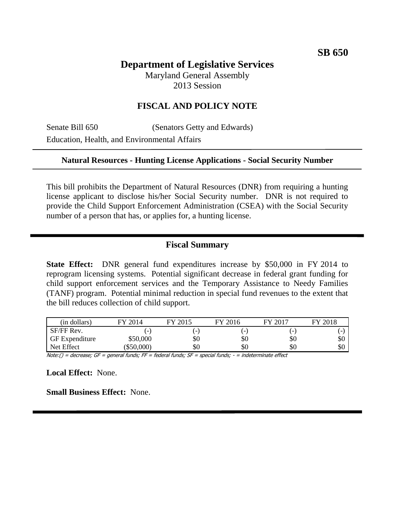# **Department of Legislative Services**

Maryland General Assembly 2013 Session

## **FISCAL AND POLICY NOTE**

Senate Bill 650 (Senators Getty and Edwards) Education, Health, and Environmental Affairs

#### **Natural Resources - Hunting License Applications - Social Security Number**

This bill prohibits the Department of Natural Resources (DNR) from requiring a hunting license applicant to disclose his/her Social Security number. DNR is not required to provide the Child Support Enforcement Administration (CSEA) with the Social Security number of a person that has, or applies for, a hunting license.

#### **Fiscal Summary**

**State Effect:** DNR general fund expenditures increase by \$50,000 in FY 2014 to reprogram licensing systems. Potential significant decrease in federal grant funding for child support enforcement services and the Temporary Assistance to Needy Families (TANF) program. Potential minimal reduction in special fund revenues to the extent that the bill reduces collection of child support.

| (in dollars)          | FY 2014      | FY 2015                  | FY 2016 | FY 2017 | FY 2018 |
|-----------------------|--------------|--------------------------|---------|---------|---------|
| SF/FF Rev.            | -            | $\overline{\phantom{a}}$ |         |         |         |
| <b>GF</b> Expenditure | \$50,000     | \$0                      | \$0     | \$0     | \$0     |
| Net Effect            | $(\$50,000)$ | \$0                      | SU      | \$0     | \$0     |

Note:() = decrease; GF = general funds; FF = federal funds; SF = special funds; - = indeterminate effect

**Local Effect:** None.

**Small Business Effect:** None.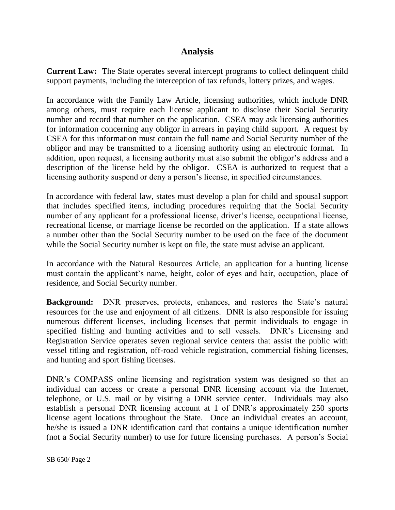### **Analysis**

**Current Law:** The State operates several intercept programs to collect delinquent child support payments, including the interception of tax refunds, lottery prizes, and wages.

In accordance with the Family Law Article, licensing authorities, which include DNR among others, must require each license applicant to disclose their Social Security number and record that number on the application. CSEA may ask licensing authorities for information concerning any obligor in arrears in paying child support. A request by CSEA for this information must contain the full name and Social Security number of the obligor and may be transmitted to a licensing authority using an electronic format. In addition, upon request, a licensing authority must also submit the obligor's address and a description of the license held by the obligor. CSEA is authorized to request that a licensing authority suspend or deny a person's license, in specified circumstances.

In accordance with federal law, states must develop a plan for child and spousal support that includes specified items, including procedures requiring that the Social Security number of any applicant for a professional license, driver's license, occupational license, recreational license, or marriage license be recorded on the application. If a state allows a number other than the Social Security number to be used on the face of the document while the Social Security number is kept on file, the state must advise an applicant.

In accordance with the Natural Resources Article, an application for a hunting license must contain the applicant's name, height, color of eyes and hair, occupation, place of residence, and Social Security number.

**Background:** DNR preserves, protects, enhances, and restores the State's natural resources for the use and enjoyment of all citizens. DNR is also responsible for issuing numerous different licenses, including licenses that permit individuals to engage in specified fishing and hunting activities and to sell vessels. DNR's Licensing and Registration Service operates seven regional service centers that assist the public with vessel titling and registration, off-road vehicle registration, commercial fishing licenses, and hunting and sport fishing licenses.

DNR's COMPASS online licensing and registration system was designed so that an individual can access or create a personal DNR licensing account via the Internet, telephone, or U.S. mail or by visiting a DNR service center. Individuals may also establish a personal DNR licensing account at 1 of DNR's approximately 250 sports license agent locations throughout the State. Once an individual creates an account, he/she is issued a DNR identification card that contains a unique identification number (not a Social Security number) to use for future licensing purchases. A person's Social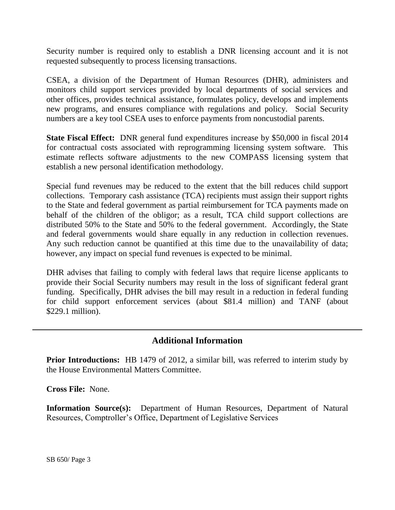Security number is required only to establish a DNR licensing account and it is not requested subsequently to process licensing transactions.

CSEA, a division of the Department of Human Resources (DHR), administers and monitors child support services provided by local departments of social services and other offices, provides technical assistance, formulates policy, develops and implements new programs, and ensures compliance with regulations and policy. Social Security numbers are a key tool CSEA uses to enforce payments from noncustodial parents.

**State Fiscal Effect:** DNR general fund expenditures increase by \$50,000 in fiscal 2014 for contractual costs associated with reprogramming licensing system software. This estimate reflects software adjustments to the new COMPASS licensing system that establish a new personal identification methodology.

Special fund revenues may be reduced to the extent that the bill reduces child support collections. Temporary cash assistance (TCA) recipients must assign their support rights to the State and federal government as partial reimbursement for TCA payments made on behalf of the children of the obligor; as a result, TCA child support collections are distributed 50% to the State and 50% to the federal government. Accordingly, the State and federal governments would share equally in any reduction in collection revenues. Any such reduction cannot be quantified at this time due to the unavailability of data; however, any impact on special fund revenues is expected to be minimal.

DHR advises that failing to comply with federal laws that require license applicants to provide their Social Security numbers may result in the loss of significant federal grant funding. Specifically, DHR advises the bill may result in a reduction in federal funding for child support enforcement services (about \$81.4 million) and TANF (about \$229.1 million).

## **Additional Information**

**Prior Introductions:** HB 1479 of 2012, a similar bill, was referred to interim study by the House Environmental Matters Committee.

**Cross File:** None.

**Information Source(s):** Department of Human Resources, Department of Natural Resources, Comptroller's Office, Department of Legislative Services